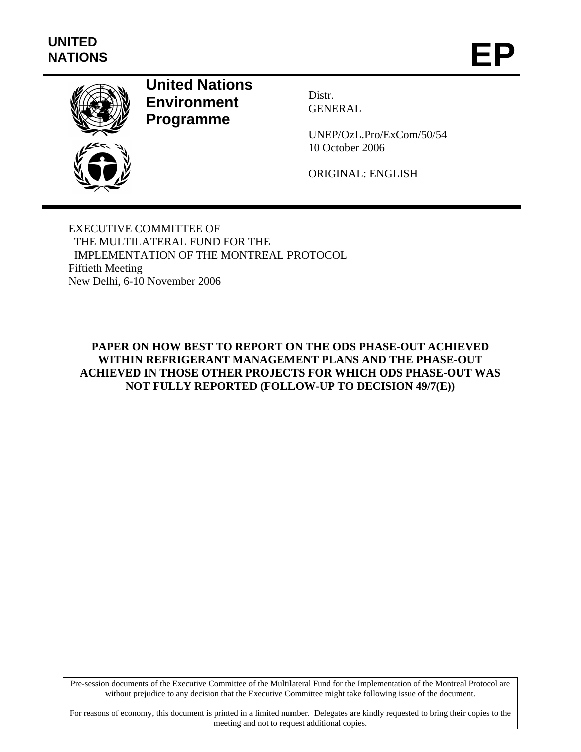

# **United Nations Environment Programme**

Distr. GENERAL

UNEP/OzL.Pro/ExCom/50/54 10 October 2006

ORIGINAL: ENGLISH

EXECUTIVE COMMITTEE OF THE MULTILATERAL FUND FOR THE IMPLEMENTATION OF THE MONTREAL PROTOCOL Fiftieth Meeting New Delhi, 6-10 November 2006

#### **PAPER ON HOW BEST TO REPORT ON THE ODS PHASE-OUT ACHIEVED WITHIN REFRIGERANT MANAGEMENT PLANS AND THE PHASE-OUT ACHIEVED IN THOSE OTHER PROJECTS FOR WHICH ODS PHASE-OUT WAS NOT FULLY REPORTED (FOLLOW-UP TO DECISION 49/7(E))**

Pre-session documents of the Executive Committee of the Multilateral Fund for the Implementation of the Montreal Protocol are without prejudice to any decision that the Executive Committee might take following issue of the document.

For reasons of economy, this document is printed in a limited number. Delegates are kindly requested to bring their copies to the meeting and not to request additional copies.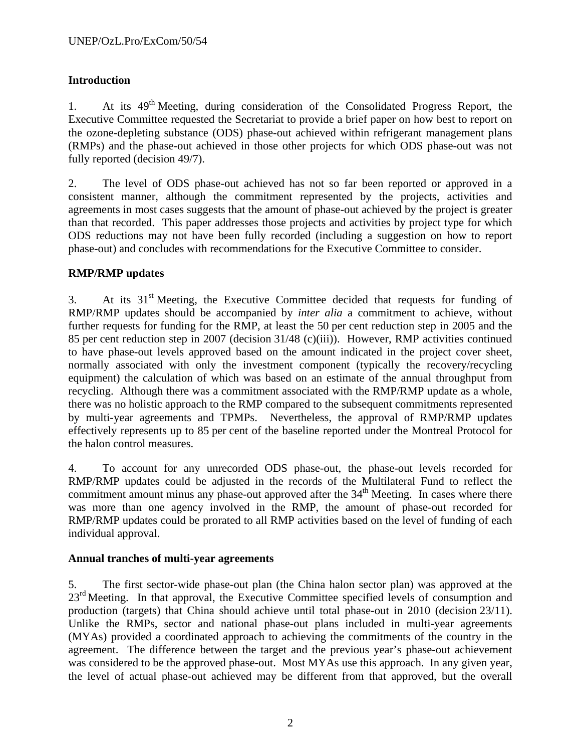## **Introduction**

1. At its 49<sup>th</sup> Meeting, during consideration of the Consolidated Progress Report, the Executive Committee requested the Secretariat to provide a brief paper on how best to report on the ozone-depleting substance (ODS) phase-out achieved within refrigerant management plans (RMPs) and the phase-out achieved in those other projects for which ODS phase-out was not fully reported (decision 49/7).

2. The level of ODS phase-out achieved has not so far been reported or approved in a consistent manner, although the commitment represented by the projects, activities and agreements in most cases suggests that the amount of phase-out achieved by the project is greater than that recorded. This paper addresses those projects and activities by project type for which ODS reductions may not have been fully recorded (including a suggestion on how to report phase-out) and concludes with recommendations for the Executive Committee to consider.

#### **RMP/RMP updates**

3. At its  $31<sup>st</sup>$  Meeting, the Executive Committee decided that requests for funding of RMP/RMP updates should be accompanied by *inter alia* a commitment to achieve, without further requests for funding for the RMP, at least the 50 per cent reduction step in 2005 and the 85 per cent reduction step in 2007 (decision 31/48 (c)(iii)). However, RMP activities continued to have phase-out levels approved based on the amount indicated in the project cover sheet, normally associated with only the investment component (typically the recovery/recycling equipment) the calculation of which was based on an estimate of the annual throughput from recycling. Although there was a commitment associated with the RMP/RMP update as a whole, there was no holistic approach to the RMP compared to the subsequent commitments represented by multi-year agreements and TPMPs. Nevertheless, the approval of RMP/RMP updates effectively represents up to 85 per cent of the baseline reported under the Montreal Protocol for the halon control measures.

4. To account for any unrecorded ODS phase-out, the phase-out levels recorded for RMP/RMP updates could be adjusted in the records of the Multilateral Fund to reflect the commitment amount minus any phase-out approved after the  $34<sup>th</sup>$  Meeting. In cases where there was more than one agency involved in the RMP, the amount of phase-out recorded for RMP/RMP updates could be prorated to all RMP activities based on the level of funding of each individual approval.

#### **Annual tranches of multi-year agreements**

5. The first sector-wide phase-out plan (the China halon sector plan) was approved at the 23<sup>rd</sup> Meeting. In that approval, the Executive Committee specified levels of consumption and production (targets) that China should achieve until total phase-out in 2010 (decision 23/11). Unlike the RMPs, sector and national phase-out plans included in multi-year agreements (MYAs) provided a coordinated approach to achieving the commitments of the country in the agreement. The difference between the target and the previous year's phase-out achievement was considered to be the approved phase-out. Most MYAs use this approach. In any given year, the level of actual phase-out achieved may be different from that approved, but the overall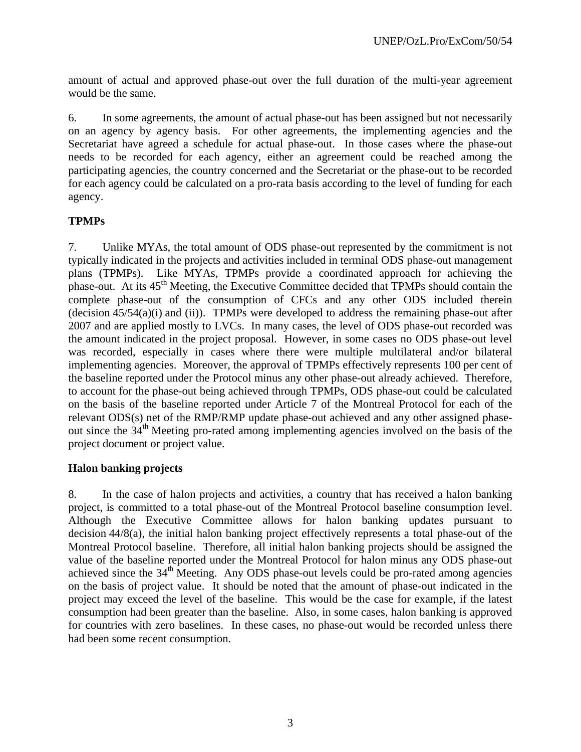amount of actual and approved phase-out over the full duration of the multi-year agreement would be the same.

6. In some agreements, the amount of actual phase-out has been assigned but not necessarily on an agency by agency basis. For other agreements, the implementing agencies and the Secretariat have agreed a schedule for actual phase-out. In those cases where the phase-out needs to be recorded for each agency, either an agreement could be reached among the participating agencies, the country concerned and the Secretariat or the phase-out to be recorded for each agency could be calculated on a pro-rata basis according to the level of funding for each agency.

#### **TPMPs**

7. Unlike MYAs, the total amount of ODS phase-out represented by the commitment is not typically indicated in the projects and activities included in terminal ODS phase-out management plans (TPMPs). Like MYAs, TPMPs provide a coordinated approach for achieving the phase-out. At its 45<sup>th</sup> Meeting, the Executive Committee decided that TPMPs should contain the complete phase-out of the consumption of CFCs and any other ODS included therein (decision 45/54(a)(i) and (ii)). TPMPs were developed to address the remaining phase-out after 2007 and are applied mostly to LVCs. In many cases, the level of ODS phase-out recorded was the amount indicated in the project proposal. However, in some cases no ODS phase-out level was recorded, especially in cases where there were multiple multilateral and/or bilateral implementing agencies. Moreover, the approval of TPMPs effectively represents 100 per cent of the baseline reported under the Protocol minus any other phase-out already achieved. Therefore, to account for the phase-out being achieved through TPMPs, ODS phase-out could be calculated on the basis of the baseline reported under Article 7 of the Montreal Protocol for each of the relevant ODS(s) net of the RMP/RMP update phase-out achieved and any other assigned phaseout since the 34th Meeting pro-rated among implementing agencies involved on the basis of the project document or project value.

#### **Halon banking projects**

8. In the case of halon projects and activities, a country that has received a halon banking project, is committed to a total phase-out of the Montreal Protocol baseline consumption level. Although the Executive Committee allows for halon banking updates pursuant to decision 44/8(a), the initial halon banking project effectively represents a total phase-out of the Montreal Protocol baseline. Therefore, all initial halon banking projects should be assigned the value of the baseline reported under the Montreal Protocol for halon minus any ODS phase-out achieved since the  $34<sup>th</sup>$  Meeting. Any ODS phase-out levels could be pro-rated among agencies on the basis of project value. It should be noted that the amount of phase-out indicated in the project may exceed the level of the baseline. This would be the case for example, if the latest consumption had been greater than the baseline. Also, in some cases, halon banking is approved for countries with zero baselines. In these cases, no phase-out would be recorded unless there had been some recent consumption.